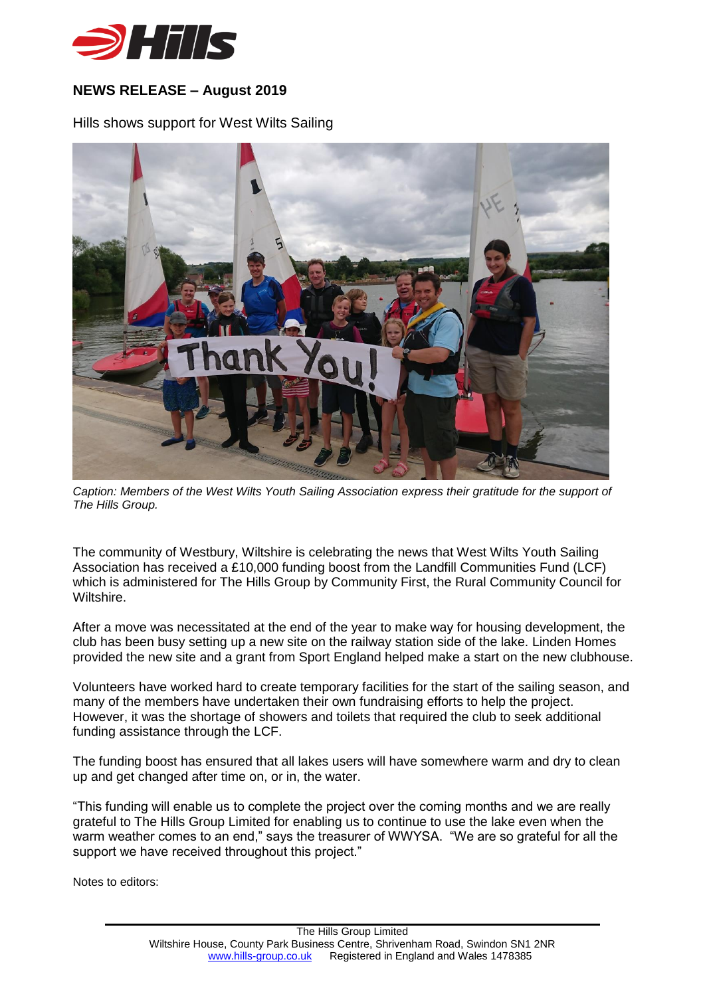

## **NEWS RELEASE – August 2019**

Hills shows support for West Wilts Sailing



*Caption: Members of the West Wilts Youth Sailing Association express their gratitude for the support of The Hills Group.*

The community of Westbury, Wiltshire is celebrating the news that West Wilts Youth Sailing Association has received a £10,000 funding boost from the Landfill Communities Fund (LCF) which is administered for The Hills Group by Community First, the Rural Community Council for Wiltshire.

After a move was necessitated at the end of the year to make way for housing development, the club has been busy setting up a new site on the railway station side of the lake. Linden Homes provided the new site and a grant from Sport England helped make a start on the new clubhouse.

Volunteers have worked hard to create temporary facilities for the start of the sailing season, and many of the members have undertaken their own fundraising efforts to help the project. However, it was the shortage of showers and toilets that required the club to seek additional funding assistance through the LCF.

The funding boost has ensured that all lakes users will have somewhere warm and dry to clean up and get changed after time on, or in, the water.

"This funding will enable us to complete the project over the coming months and we are really grateful to The Hills Group Limited for enabling us to continue to use the lake even when the warm weather comes to an end," says the treasurer of WWYSA. "We are so grateful for all the support we have received throughout this project."

Notes to editors: